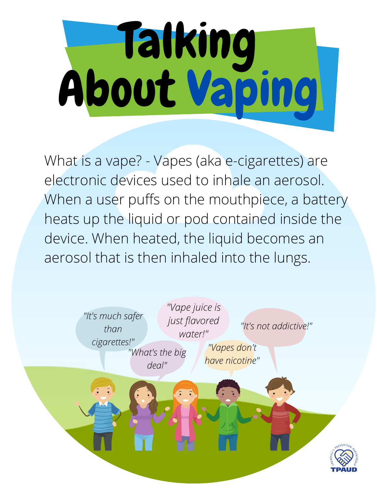

What is a vape? - Vapes (aka e-cigarettes) are electronic devices used to inhale an aerosol. When a user puffs on the mouthpiece, a battery heats up the liquid or pod contained inside the device. When heated, the liquid becomes an aerosol that is then inhaled into the lungs.

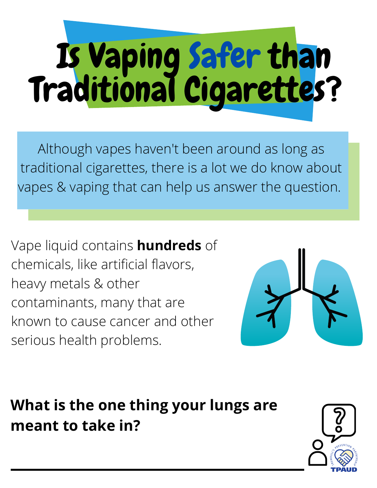# Is Vaping Safer than Traditional Cigarettes?

Although vapes haven't been around as long as traditional cigarettes, there is a lot we do know about vapes & vaping that can help us answer the question.

Vape liquid contains **hundreds** of chemicals, like artificial flavors, heavy metals & other contaminants, many that are known to cause cancer and other serious health problems.

 $\ddot{\phantom{a}}$ 



### **What is the one thing your lungs are meant to take in?**

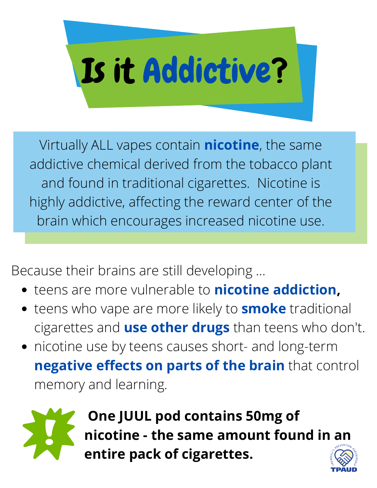

Virtually ALL vapes contain **nicotine**, the same addictive chemical derived from the tobacco plant and found in traditional cigarettes. Nicotine is highly addictive, affecting the reward center of the brain which encourages increased nicotine use.

Because their brains are still developing ...

- teens are more vulnerable to **nicotine addiction,**
- teens who vape are more likely to **smoke** traditional cigarettes and **use other drugs** than teens who don't.
- nicotine use by teens causes short- and long-term **negative effects on parts of the brain** that control memory and learning.



**One JUUL pod contains 50mg of nicotine - the same amount found in an entire pack of cigarettes.**

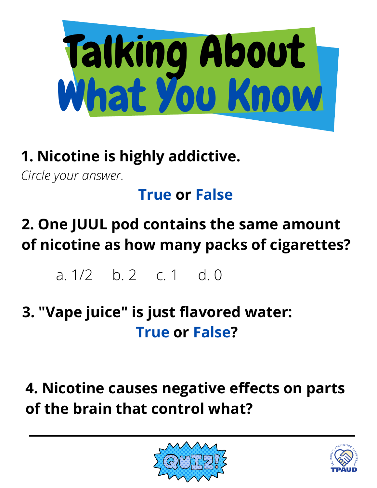

# **1. Nicotine is highly addictive.**

*Circle your answer.*

l,

### **True or False**

**2. One JUUL pod contains the same amount of nicotine as how many packs of cigarettes?**

a. 1/2 b. 2 c. 1 d. 0

## **3. "Vape juice" is just flavored water: True or False?**

**4. Nicotine causes negative effects on parts of the brain that control what?**